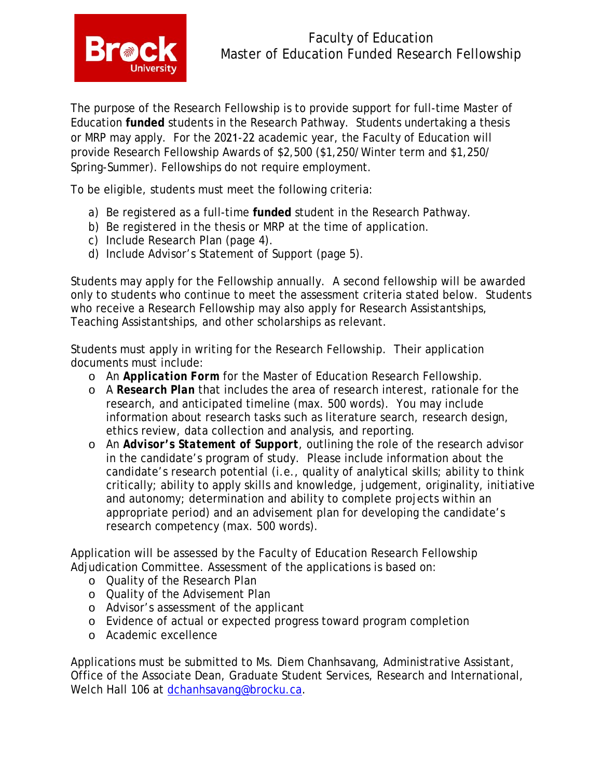

The purpose of the Research Fellowship is to provide support for full-time Master of Education **funded** students in the Research Pathway. Students undertaking a thesis or MRP may apply. For the 2021-22 academic year, the Faculty of Education will provide Research Fellowship Awards of \$2,500 (\$1,250/Winter term and \$1,250/ Spring-Summer). Fellowships do not require employment.

To be eligible, students must meet the following criteria:

- a) Be registered as a full-time **funded** student in the Research Pathway.
- b) Be registered in the thesis or MRP at the time of application.
- c) Include Research Plan (page 4).
- d) Include Advisor's Statement of Support (page 5).

Students may apply for the Fellowship annually. A second fellowship will be awarded only to students who continue to meet the assessment criteria stated below. Students who receive a Research Fellowship may also apply for Research Assistantships, Teaching Assistantships, and other scholarships as relevant.

Students must apply in writing for the Research Fellowship. Their application documents must include:

- o An *Application Form* for the Master of Education Research Fellowship.
- o A *Research Plan* that includes the area of research interest, rationale for the research, and anticipated timeline (max. 500 words). You may include information about research tasks such as literature search, research design, ethics review, data collection and analysis, and reporting.
- o An *Advisor's Statement of Support,* outlining the role of the research advisor in the candidate's program of study. Please include information about the candidate's research potential (i.e., quality of analytical skills; ability to think critically; ability to apply skills and knowledge, judgement, originality, initiative and autonomy; determination and ability to complete projects within an appropriate period) and an advisement plan for developing the candidate's research competency (max. 500 words).

Application will be assessed by the Faculty of Education Research Fellowship Adjudication Committee. Assessment of the applications is based on:

- o Quality of the Research Plan
- o Quality of the Advisement Plan
- o Advisor's assessment of the applicant
- o Evidence of actual or expected progress toward program completion
- o Academic excellence

Applications must be submitted to Ms. Diem Chanhsavang, Administrative Assistant, Office of the Associate Dean, Graduate Student Services, Research and International, Welch Hall 106 at [dchanhsavang@brocku.ca.](mailto:dchanhsavang@brocku.ca)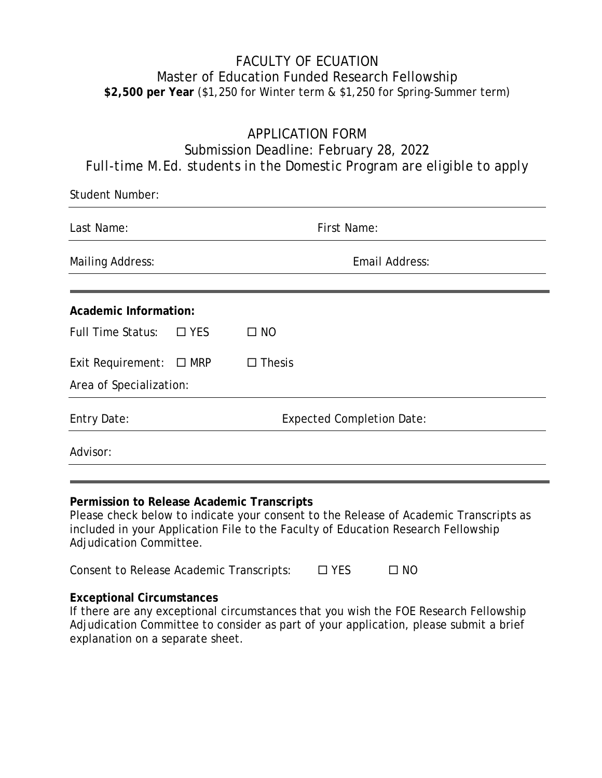## FACULTY OF ECUATION Master of Education Funded Research Fellowship **\$2,500 per Year** (\$1,250 for Winter term & \$1,250 for Spring-Summer term)

# APPLICATION FORM Submission Deadline: February 28, 2022 *Full-time M.Ed. students in the Domestic Program are eligible to apply*

| <b>Student Number:</b>                                                                                                              |            |                                  |  |  |
|-------------------------------------------------------------------------------------------------------------------------------------|------------|----------------------------------|--|--|
| Last Name:                                                                                                                          |            | <b>First Name:</b>               |  |  |
| <b>Mailing Address:</b>                                                                                                             |            | Email Address:                   |  |  |
| <b>Academic Information:</b>                                                                                                        |            |                                  |  |  |
| <b>Full Time Status:</b>                                                                                                            | $\Box$ YES | $\square$ NO                     |  |  |
| Exit Requirement: $\Box$ MRP                                                                                                        |            | $\Box$ Thesis                    |  |  |
| Area of Specialization:                                                                                                             |            |                                  |  |  |
| <b>Entry Date:</b>                                                                                                                  |            | <b>Expected Completion Date:</b> |  |  |
| Advisor:                                                                                                                            |            |                                  |  |  |
|                                                                                                                                     |            |                                  |  |  |
| Permission to Release Academic Transcripts<br>Please check below to indicate your consent to the Release of Academic Transcripts as |            |                                  |  |  |

included in your Application File to the Faculty of Education Research Fellowship Adjudication Committee.

| Consent to Release Academic Transcripts: | $\square$ YES | $\square$ NO |
|------------------------------------------|---------------|--------------|
|------------------------------------------|---------------|--------------|

#### **Exceptional Circumstances**

If there are any exceptional circumstances that you wish the FOE Research Fellowship Adjudication Committee to consider as part of your application, please submit a brief explanation on a separate sheet.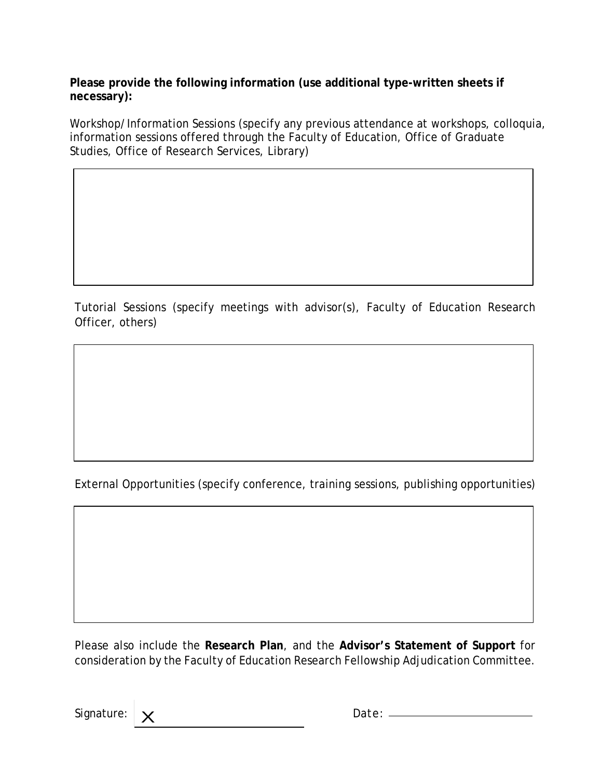**Please provide the following information (use additional type-written sheets if necessary):**

Workshop/Information Sessions (specify any previous attendance at workshops, colloquia, information sessions offered through the Faculty of Education, Office of Graduate Studies, Office of Research Services, Library)

Tutorial Sessions (specify meetings with advisor(s), Faculty of Education Research Officer, others)

External Opportunities (specify conference, training sessions, publishing opportunities)

Please also include the **Research Plan**, and the **Advisor's Statement of Support** for consideration by the Faculty of Education Research Fellowship Adjudication Committee.

Signature: <u>X</u> Date: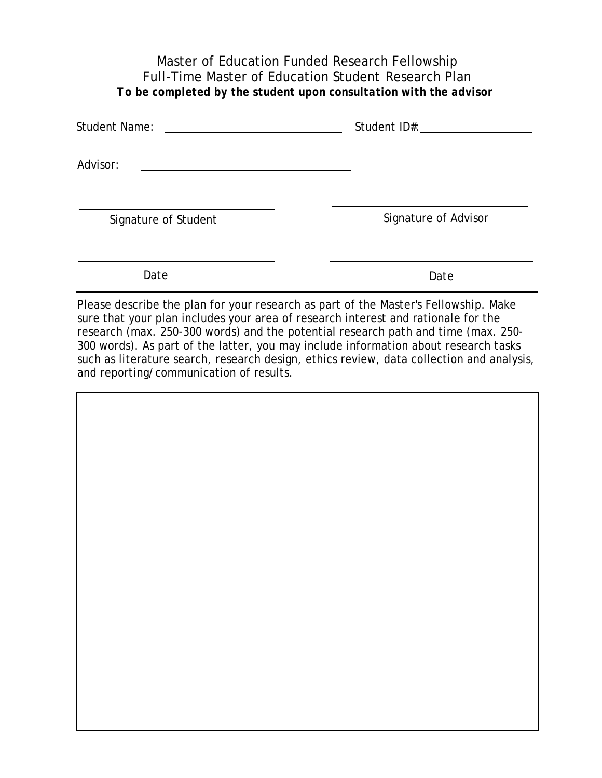## Master of Education Funded Research Fellowship Full-Time Master of Education Student Research Plan *To be completed by the student upon consultation with the advisor*

| <b>Student Name:</b> | Student ID#:         |
|----------------------|----------------------|
| Advisor:             |                      |
| Signature of Student | Signature of Advisor |
| Date                 | Date                 |

Please describe the plan for your research as part of the Master's Fellowship. Make sure that your plan includes your area of research interest and rationale for the research (max. 250-300 words) and the potential research path and time (max. 250- 300 words). As part of the latter, you may include information about research tasks such as literature search, research design, ethics review, data collection and analysis, and reporting/communication of results.